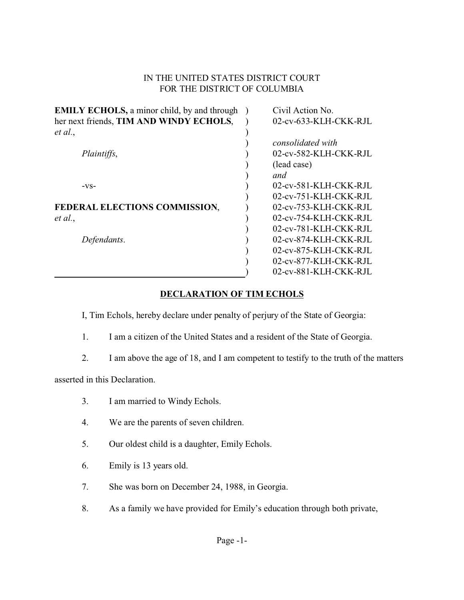## IN THE UNITED STATES DISTRICT COURT FOR THE DISTRICT OF COLUMBIA

| <b>EMILY ECHOLS, a minor child, by and through</b> | Civil Action No.         |
|----------------------------------------------------|--------------------------|
| her next friends, TIM AND WINDY ECHOLS,            | 02-cv-633-KLH-CKK-RJL    |
| et al.,                                            |                          |
|                                                    | consolidated with        |
| Plaintiffs,                                        | 02-cv-582-KLH-CKK-RJL    |
|                                                    | (lead case)              |
|                                                    | and                      |
| $-VS-$                                             | 02-cv-581-KLH-CKK-RJL    |
|                                                    | 02-cv-751-KLH-CKK-RJL    |
| FEDERAL ELECTIONS COMMISSION,                      | 02-cv-753-KLH-CKK-RJL    |
| et al.,                                            | 02-cv-754-KLH-CKK-RJL    |
|                                                    | 02-cv-781-KLH-CKK-RJL    |
| Defendants.                                        | $02$ -cv-874-KLH-CKK-RJL |
|                                                    | 02-cv-875-KLH-CKK-RJL    |
|                                                    | 02-cv-877-KLH-CKK-RJL    |
|                                                    | 02-cv-881-KLH-CKK-RJL    |

## **DECLARATION OF TIM ECHOLS**

I, Tim Echols, hereby declare under penalty of perjury of the State of Georgia:

- 1. I am a citizen of the United States and a resident of the State of Georgia.
- 2. I am above the age of 18, and I am competent to testify to the truth of the matters

asserted in this Declaration.

- 3. I am married to Windy Echols.
- 4. We are the parents of seven children.
- 5. Our oldest child is a daughter, Emily Echols.
- 6. Emily is 13 years old.
- 7. She was born on December 24, 1988, in Georgia.
- 8. As a family we have provided for Emily's education through both private,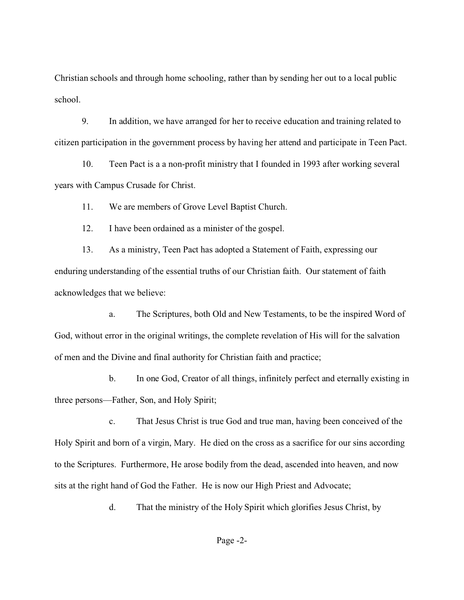Christian schools and through home schooling, rather than by sending her out to a local public school.

9. In addition, we have arranged for her to receive education and training related to citizen participation in the government process by having her attend and participate in Teen Pact.

10. Teen Pact is a a non-profit ministry that I founded in 1993 after working several years with Campus Crusade for Christ.

11. We are members of Grove Level Baptist Church.

12. I have been ordained as a minister of the gospel.

13. As a ministry, Teen Pact has adopted a Statement of Faith, expressing our enduring understanding of the essential truths of our Christian faith. Our statement of faith acknowledges that we believe:

a. The Scriptures, both Old and New Testaments, to be the inspired Word of God, without error in the original writings, the complete revelation of His will for the salvation of men and the Divine and final authority for Christian faith and practice;

b. In one God, Creator of all things, infinitely perfect and eternally existing in three persons—Father, Son, and Holy Spirit;

c. That Jesus Christ is true God and true man, having been conceived of the Holy Spirit and born of a virgin, Mary. He died on the cross as a sacrifice for our sins according to the Scriptures. Furthermore, He arose bodily from the dead, ascended into heaven, and now sits at the right hand of God the Father. He is now our High Priest and Advocate;

d. That the ministry of the Holy Spirit which glorifies Jesus Christ, by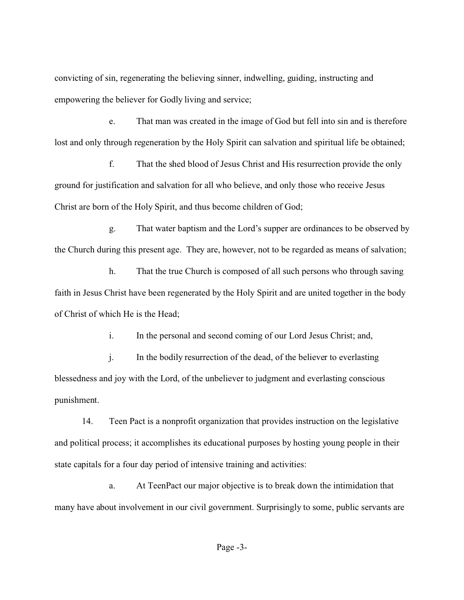convicting of sin, regenerating the believing sinner, indwelling, guiding, instructing and empowering the believer for Godly living and service;

e. That man was created in the image of God but fell into sin and is therefore lost and only through regeneration by the Holy Spirit can salvation and spiritual life be obtained;

f. That the shed blood of Jesus Christ and His resurrection provide the only ground for justification and salvation for all who believe, and only those who receive Jesus Christ are born of the Holy Spirit, and thus become children of God;

g. That water baptism and the Lord's supper are ordinances to be observed by the Church during this present age. They are, however, not to be regarded as means of salvation;

h. That the true Church is composed of all such persons who through saving faith in Jesus Christ have been regenerated by the Holy Spirit and are united together in the body of Christ of which He is the Head;

i. In the personal and second coming of our Lord Jesus Christ; and,

j. In the bodily resurrection of the dead, of the believer to everlasting blessedness and joy with the Lord, of the unbeliever to judgment and everlasting conscious punishment.

14. Teen Pact is a nonprofit organization that provides instruction on the legislative and political process; it accomplishes its educational purposes by hosting young people in their state capitals for a four day period of intensive training and activities:

a. At TeenPact our major objective is to break down the intimidation that many have about involvement in our civil government. Surprisingly to some, public servants are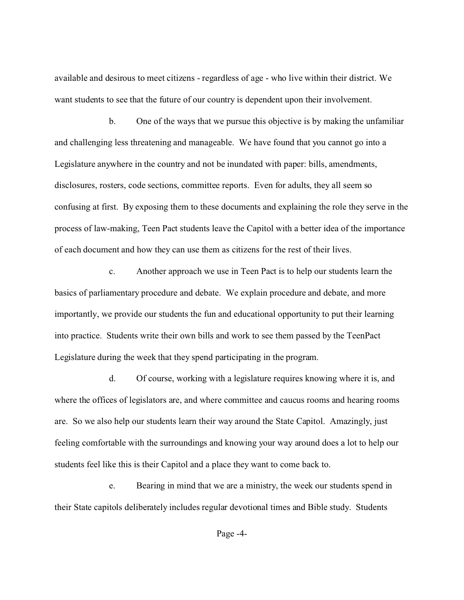available and desirous to meet citizens - regardless of age - who live within their district. We want students to see that the future of our country is dependent upon their involvement.

b. One of the ways that we pursue this objective is by making the unfamiliar and challenging less threatening and manageable. We have found that you cannot go into a Legislature anywhere in the country and not be inundated with paper: bills, amendments, disclosures, rosters, code sections, committee reports. Even for adults, they all seem so confusing at first. By exposing them to these documents and explaining the role they serve in the process of law-making, Teen Pact students leave the Capitol with a better idea of the importance of each document and how they can use them as citizens for the rest of their lives.

c. Another approach we use in Teen Pact is to help our students learn the basics of parliamentary procedure and debate. We explain procedure and debate, and more importantly, we provide our students the fun and educational opportunity to put their learning into practice. Students write their own bills and work to see them passed by the TeenPact Legislature during the week that they spend participating in the program.

d. Of course, working with a legislature requires knowing where it is, and where the offices of legislators are, and where committee and caucus rooms and hearing rooms are. So we also help our students learn their way around the State Capitol. Amazingly, just feeling comfortable with the surroundings and knowing your way around does a lot to help our students feel like this is their Capitol and a place they want to come back to.

e. Bearing in mind that we are a ministry, the week our students spend in their State capitols deliberately includes regular devotional times and Bible study. Students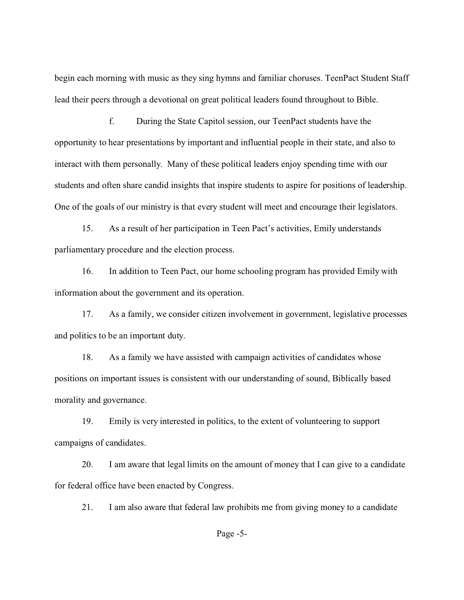begin each morning with music as they sing hymns and familiar choruses. TeenPact Student Staff lead their peers through a devotional on great political leaders found throughout to Bible.

f. During the State Capitol session, our TeenPact students have the opportunity to hear presentations by important and influential people in their state, and also to interact with them personally. Many of these political leaders enjoy spending time with our students and often share candid insights that inspire students to aspire for positions of leadership. One of the goals of our ministry is that every student will meet and encourage their legislators.

15. As a result of her participation in Teen Pact's activities, Emily understands parliamentary procedure and the election process.

16. In addition to Teen Pact, our home schooling program has provided Emily with information about the government and its operation.

17. As a family, we consider citizen involvement in government, legislative processes and politics to be an important duty.

18. As a family we have assisted with campaign activities of candidates whose positions on important issues is consistent with our understanding of sound, Biblically based morality and governance.

19. Emily is very interested in politics, to the extent of volunteering to support campaigns of candidates.

20. I am aware that legal limits on the amount of money that I can give to a candidate for federal office have been enacted by Congress.

21. I am also aware that federal law prohibits me from giving money to a candidate

Page -5-